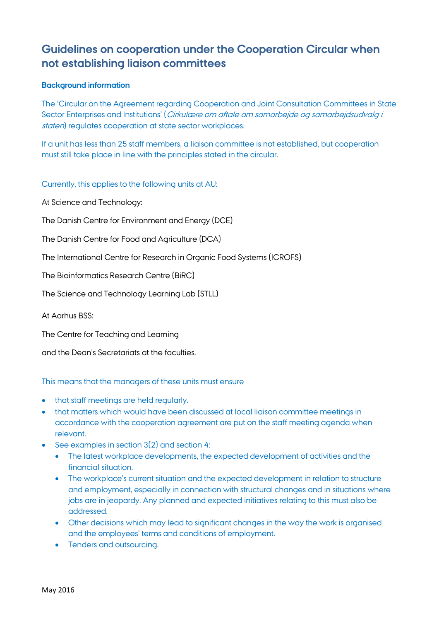## **Guidelines on cooperation under the Cooperation Circular when not establishing liaison committees**

## **Background information**

The 'Circular on the Agreement regarding Cooperation and Joint Consultation Committees in State Sector Enterprises and Institutions' (Cirkulære om aftale om samarbejde og samarbejdsudvalg i staten) regulates cooperation at state sector workplaces.

If a unit has less than 25 staff members, a liaison committee is not established, but cooperation must still take place in line with the principles stated in the circular.

Currently, this applies to the following units at AU:

At Science and Technology:

The Danish Centre for Environment and Energy (DCE)

The Danish Centre for Food and Agriculture (DCA)

The International Centre for Research in Organic Food Systems (ICROFS)

The Bioinformatics Research Centre (BiRC)

The Science and Technology Learning Lab (STLL)

At Aarhus BSS:

The Centre for Teaching and Learning

and the Dean's Secretariats at the faculties.

This means that the managers of these units must ensure

- that staff meetings are held regularly.
- that matters which would have been discussed at local liaison committee meetings in accordance with the cooperation agreement are put on the staff meeting agenda when relevant.
- See examples in section 3(2) and section 4:
	- The latest workplace developments, the expected development of activities and the financial situation.
	- The workplace's current situation and the expected development in relation to structure and employment, especially in connection with structural changes and in situations where jobs are in jeopardy. Any planned and expected initiatives relating to this must also be addressed.
	- Other decisions which may lead to significant changes in the way the work is organised and the employees' terms and conditions of employment.
	- Tenders and outsourcing.